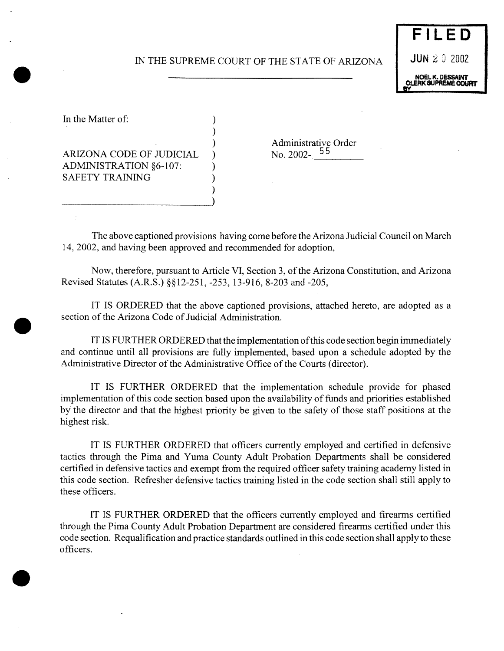# IN THE SUPREME COURT OF THE STATE OF ARIZONA **JUN** 2 0 2002

)

)

**FILED** NOEL K. DESSAINT<br>CLERK SUPREME COURT

In the Matter of:  $\qquad \qquad$ )

 $ARIZONA$  CODE OF JUDICIAL  $\rightarrow$ ADMINISTRATION §6-107: SAFETY TRAINING )

\_\_\_\_\_\_\_\_\_\_\_\_\_\_\_\_\_\_\_\_\_\_\_\_\_\_\_\_\_\_\_\_\_\_\_\_\_\_\_\_\_\_\_\_\_\_\_\_\_\_\_\_\_\_\_\_\_\_\_\_\_\_\_)

) Administrative Order<br>
No. 2002-<sup>55</sup>

The above captioned provisions having come before the Arizona Judicial Council on March 14, 2002, and having been approved and recommended for adoption,

Now, therefore, pursuant to Article VI, Section 3, of the Arizona Constitution, and Arizona Revised Statutes (A.R.S.) *§~l2-251,-253,* 13-916, 8-203 and -205,

IT IS ORDERED that the above captioned provisions, attached hereto, are adopted as a section of the Arizona Code of Judicial Administration.

IT IS FURTHER ORDERED that the implementation of this code section begin immediately and continue until all provisions are fully implemented, based upon a schedule adopted by the Administrative Director of the Administrative Office of the Courts (director).

IT IS FURTHER ORDERED that the implementation schedule provide for phased implementation of this code section based upon the availability of funds and priorities established by the director and that the highest priority be given to the safety of those staff positions at the highest risk.

IT IS FURTHER ORDERED that officers currently employed and certified in defensive tactics through the Pima and Yuma County Adult Probation Departments shall be considered certified in defensive tactics and exempt from the required officer safety training academy listed in this code section. Refresher defensive tactics training listed in the code section shall still apply to these officers.

IT IS FURTHER ORDERED that the officers currently employed and firearms certified through the Pima County Adult Probation Department are considered firearms certified under this code section. Requalification and practice standards outlined in this code section shall apply to these officers.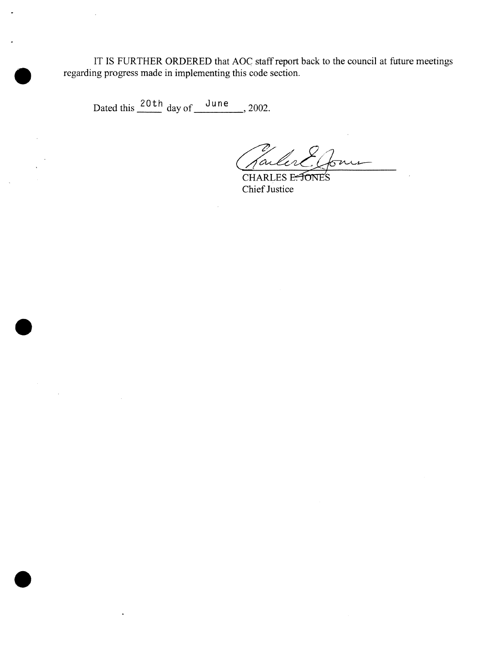IT IS FURTHER ORDERED that AOC staff report back to the council at future meetings regarding progress made in implementing this code section.

Dated this  $\frac{20 \text{ th}}{4}$  day of  $\frac{\text{June}}{4}$ , 2002.

fail

CHARLES E. FONES Chief Justice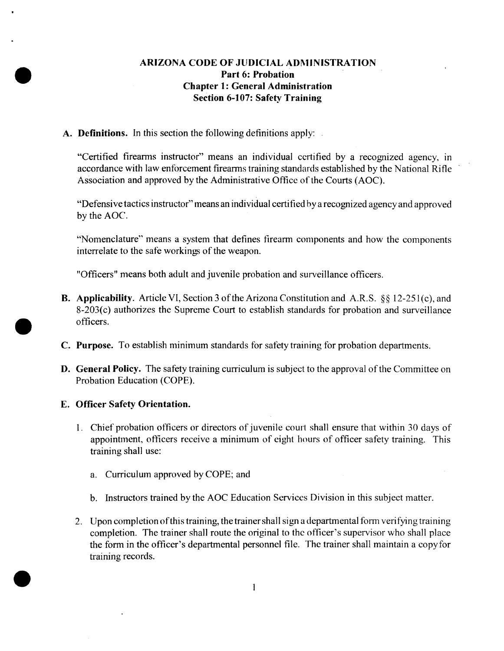## ARIZONA CODE OF JUDICIAL ADMINISTRATION Part 6: Probation Chapter 1: General Administration Section 6-107: Safety Training

A. **Definitions.** In this section the following definitions apply:

"Certified firearms instructor" means an individual certified by a recognized agency, in accordance with law enforcement firearms training standards established by the National Rifle Association and approved by the Administrative Office of the Courts (AOC).

"Defensivetactics instructor"means an individual certified by a recognized agencyand approved by the AOC.

"Nomenclature" means a system that defines firearm components and how the components interrelate to the safe workings of the weapon.

"Officers" means both adult and juvenile probation and surveillance officers.

- **B.** Applicability. Article VI, Section 3 of the Arizona Constitution and A.R.S. §§ 12-251(c), and *8-203(c)* authorizes the Supreme Court to establish standards for probation and surveillance officers.
- C. Purpose. To establish minimum standards for safetytraining for probation departments.
- **D. General Policy.** The safety training curriculum is subject to the approval of the Committee on Probation Education (COPE).

#### E. Officer Safety Orientation.

- 1. Chief probation officers or directors of juvenile court shall ensure that within 30 days of appointment, officers receive a minimum of eight hours of officer safety training. This training shall use:
	- a. Curriculum approved by COPE; and
	- b. Instructors trained by the AOC Education Services Division in this subject matter.
- 2. Upon completion of this training, the trainer shall sign a departmental form verifying training completion. The trainer shall route the original to the officer's supervisor who shall place the form in the officer's departmental personnel file. The trainer shall maintain a copyfor training records.

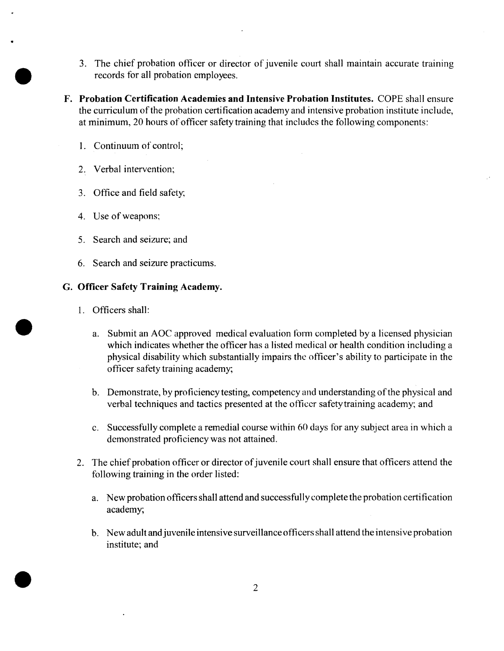- 3. The chief probation officer or director of juvenile court shall maintain accurate training records for all probation employees.
- F. **Probation** Certification Academies **and** Intensive Probation Institutes. COPE shall ensure the curriculum of the probation certification academy and intensive probation institute include, at minimum, 20 hours of officer safety training that includes the following components:
	- 1. Continuum of control:
	- 2. Verbal intervention;
	- 3. Office and field safety,
	- 4. Use of weapons;
	- *5.* Search and seizure; and
	- 6. Search and seizure practicums.

#### 6. Officer Safety Training Academy.

- 1. Officers shall:
	- a. Submit an AOC approved medical evaluation form completed by a licensed physician which indicates whether the officer has a listed medical or health condition including a physical disability which substantially impairs the oflicer's ability to participate in the officer safety training academy;
	- b. Demonstrate, by proficiency testing, competency and understanding of the physical and verbal techniques and tactics presented at the officer safetytraining academy; and
	- c. Successfully complete a remedial course within 60 days for any subject area in which a demonstrated proficiencywas not attained.
- 2. The chief probation officer or director of juvenile court shall ensure that officers attend the following training in the order listed:
	- a. New probation officers shall attend and successfully complete the probation certification academy;
	- b. New adult and juvenileintensive surveillanceofficersshall attend the intensive probation institute; and

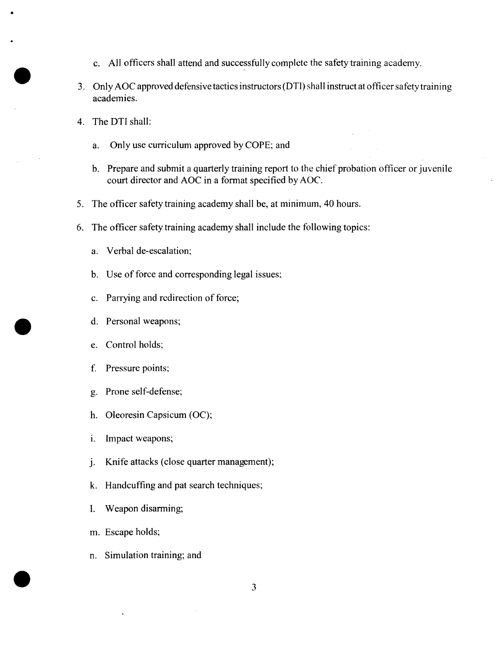- c. All officers shall attend and successfullycomplete the safety training academy.
- 3. Only AOC approved defensive tactics instructors (DTI) shall instruct at officer safety training academies.
- 4. The DTI shall:
	- a. Only use curriculum approved by COPE; and
	- b. Prepare and submit a quarterly training report to the chief probation officer or juvenile court director and AOC in a format specified by AOC.
- 5. The officer safety training academy shall be, at minimum, 40 hours.
- 6. The officer safety training academy shall include the following topics:
	- a. Verbal de-escalation;
	- b. Use of force and corresponding legal issues;
	- c. Parrying and redirection of force;
	- d. Personal weapons;
	- e. Control holds;
	- f. Pressure points;
	- g. Prone self-defense;
	- h. Oleoresin Capsicum (OC);
	- i. Impact weapons;
	- j. Knife attacks (close quarter management);
	- k. Handcuffing and pat search techniques;
	- 1. Weapon disarming;
	- m. Escape holds;
	- n. Simulation training; and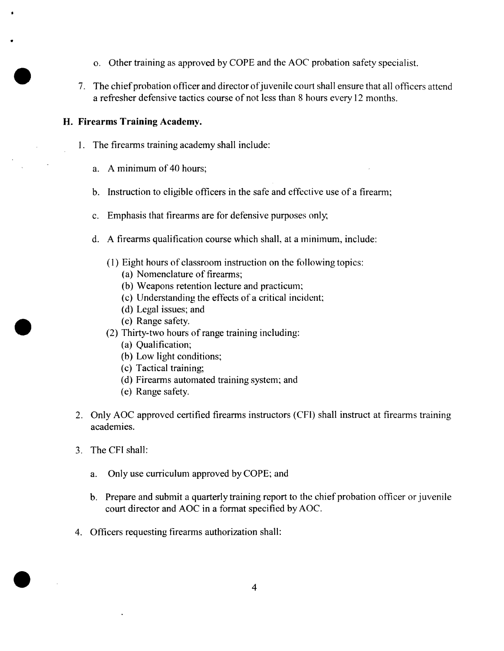- o. Other training as approved by COPE and the AOC probation safety specialist.
- 7. The chief probation officer and director of juvenile court shall ensure that all officers attend a refresher defensive tactics course of not less than 8 hours every 12 months.

### **H. Firearms Training Academy.**

- 1. The firearms training academy shall include:
	- a. A minimum of 40 hours;
	- b. Instruction to eligible officers in the safe and effective use of a firearm;
	- c. Emphasis that firearms are for defensive purposes only,
	- d. A firearms qualification course which shall, at a minimum, include:
		- $(1)$  Eight hours of classroom instruction on the following topics:
			- (a) Nomenclature of firearms;
			- (b) Weapons retention lecture and practicum;
			- (c) Understanding the effects of a critical incident;
			- (d) Legal issues; and
			- (e) Range safety.
		- (2) Thirty-two hours ofrange training including:
			- (a) Qualification;
			- (b) Low light conditions;
			- (c) Tactical training;
			- (d) Firearms automated training system; and
			- (e) Range safety.
- 2. Only AOC approved certified firearms instructors (CFI) shall instruct at firearms training academies.
- 3. The CFI shall:
	- a. Only use curriculum approved by COPE; and
	- b. Prepare and submit a quarterly training report to the chief probation officer or juvenile court director and AOC in a format specified by AOC.
- 4. Officers requesting firearms authorization shall: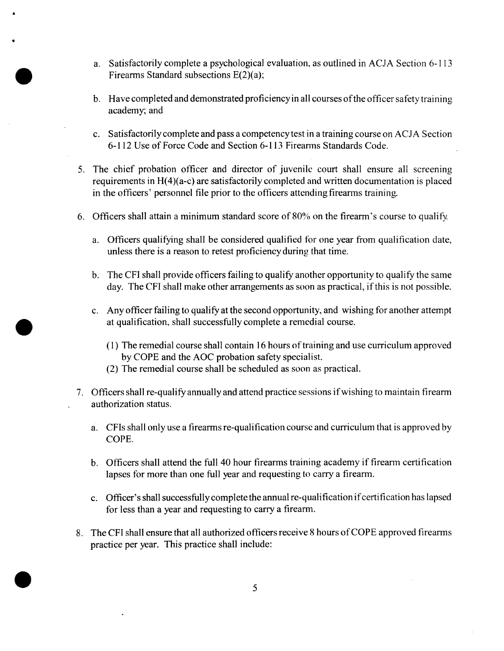- a. Satisfactorily complete a psychological evaluation, as outlined in ACJA Section 6-113 Firearms Standard subsections E(2)(a);
- b. Have completed and demonstrated proficiency in all courses of the officer safety training academy; and
- c. Satisfactorilycompleteand pass a competencytest in a training course on ACJA Section 6-112 Use of Force Code and Section 6-113 Firearms Standards Code.
- *5.* The chief probation officer and director of juvenile court shall ensure all screening requirements in H(4)(a-c) are satisfactorily completed and written documentation is placed in the officers' personnel file prior to the officers attending firearms training.
- 6. Officers shall attain a minimum standard score of 80% on the firearm's course to qualify.
	- a. Officers qualifying shall be considered qualified for one year from qualification date, unless there is a reason to retest proficiencyduring that time.
	- b. The CFI shall provide officers failing to qualify another opportunity to qualify the same day. The CFI shall make other arrangements as soon as practical, if this is not possible.
	- c. Anyofficer failing to qualify at the second opportunity, and wishing foranother attempt at qualification, shall successfully complete a remedial course.
		- $(1)$  The remedial course shall contain 16 hours of training and use curriculum approved by COPE and the AOC probation safety specialist.
		- (2) The remedial course shall be scheduled as soon as practical.
- 7. Officers shall re-qualify annually and attend practice sessions if wishing to maintain firearm authorization status.
	- a. CFIs shall only use a firearms re-qualification course and curriculum that is approved by COPE.
	- b. Officers shall attend the full 40 hour firearms training academy if firearm certification lapses for more than one full year and requesting to carry a firearm.
	- c. Officer's shall successfully complete the annual re-qualification if certification has lapsed for less than a year and requesting to carry a firearm.
- 8. The CFI shall ensure that all authorized officers receive 8 hours of COPE approved firearms practice per year. This practice shall include: